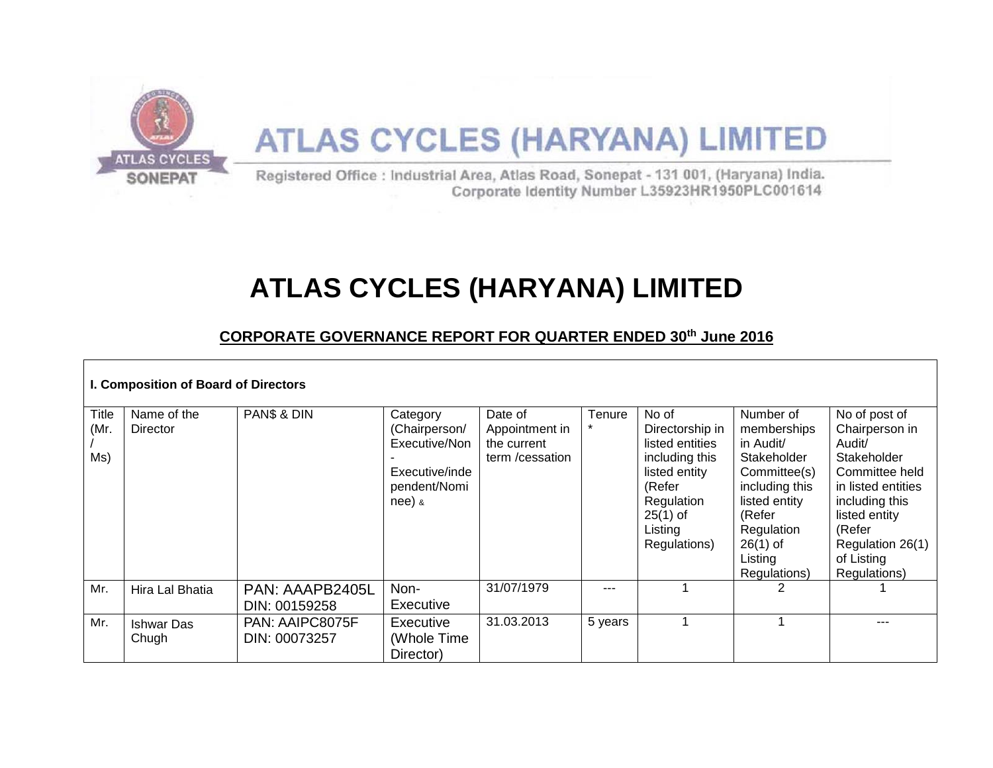

# **ATLAS CYCLES (HARYANA) LIMITED**

## **CORPORATE GOVERNANCE REPORT FOR QUARTER ENDED 30 th June 2016**

| I. Composition of Board of Directors |                                |                                  |                                                                                          |                                                              |         |                                                                                                                                                 |                                                                                                                                                                          |                                                                                                                                                                                                 |
|--------------------------------------|--------------------------------|----------------------------------|------------------------------------------------------------------------------------------|--------------------------------------------------------------|---------|-------------------------------------------------------------------------------------------------------------------------------------------------|--------------------------------------------------------------------------------------------------------------------------------------------------------------------------|-------------------------------------------------------------------------------------------------------------------------------------------------------------------------------------------------|
| <b>Title</b><br>(Mr.<br>Ms)          | Name of the<br><b>Director</b> | PAN\$ & DIN                      | Category<br>(Chairperson/<br>Executive/Non<br>Executive/inde<br>pendent/Nomi<br>$nee)$ & | Date of<br>Appointment in<br>the current<br>term / cessation | Tenure  | No of<br>Directorship in<br>listed entities<br>including this<br>listed entity<br>(Refer<br>Regulation<br>$25(1)$ of<br>Listing<br>Regulations) | Number of<br>memberships<br>in Audit/<br>Stakeholder<br>Committee(s)<br>including this<br>listed entity<br>(Refer<br>Regulation<br>$26(1)$ of<br>Listing<br>Regulations) | No of post of<br>Chairperson in<br>Audit/<br>Stakeholder<br>Committee held<br>in listed entities<br>including this<br>listed entity<br>(Refer<br>Regulation 26(1)<br>of Listing<br>Regulations) |
| Mr.                                  | Hira Lal Bhatia                | PAN: AAAPB2405L<br>DIN: 00159258 | Non-<br>Executive                                                                        | 31/07/1979                                                   | ---     |                                                                                                                                                 |                                                                                                                                                                          |                                                                                                                                                                                                 |
| Mr.                                  | <b>Ishwar Das</b><br>Chugh     | PAN: AAIPC8075F<br>DIN: 00073257 | Executive<br>(Whole Time<br>Director)                                                    | 31.03.2013                                                   | 5 years |                                                                                                                                                 |                                                                                                                                                                          |                                                                                                                                                                                                 |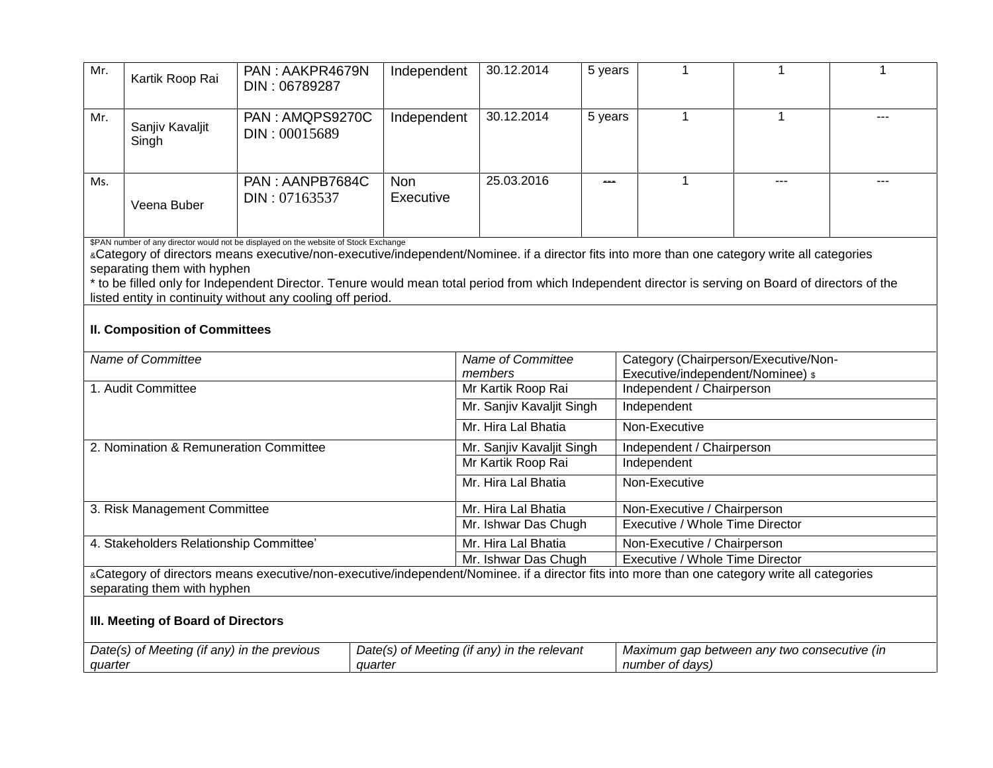| Mr.                                                                                                                                                                                                                                                                                                                                                                                                                                                                                                                                 | Kartik Roop Rai          | PAN: AAKPR4679N<br>DIN: 06789287 | Independent             | 30.12.2014                                      | 5 years                     |                                                                           |       |     |
|-------------------------------------------------------------------------------------------------------------------------------------------------------------------------------------------------------------------------------------------------------------------------------------------------------------------------------------------------------------------------------------------------------------------------------------------------------------------------------------------------------------------------------------|--------------------------|----------------------------------|-------------------------|-------------------------------------------------|-----------------------------|---------------------------------------------------------------------------|-------|-----|
| Mr.                                                                                                                                                                                                                                                                                                                                                                                                                                                                                                                                 | Sanjiv Kavaljit<br>Singh | PAN: AMQPS9270C<br>DIN: 00015689 | Independent             | 30.12.2014                                      | 5 years                     | $\mathbf{1}$                                                              | 1     | --- |
| Ms.                                                                                                                                                                                                                                                                                                                                                                                                                                                                                                                                 | Veena Buber              | PAN: AANPB7684C<br>DIN: 07163537 | <b>Non</b><br>Executive | 25.03.2016                                      | ---                         | $\mathbf 1$                                                               | $---$ | --- |
| \$PAN number of any director would not be displayed on the website of Stock Exchange<br>«Category of directors means executive/non-executive/independent/Nominee. if a director fits into more than one category write all categories<br>separating them with hyphen<br>* to be filled only for Independent Director. Tenure would mean total period from which Independent director is serving on Board of directors of the<br>listed entity in continuity without any cooling off period.<br><b>II. Composition of Committees</b> |                          |                                  |                         |                                                 |                             |                                                                           |       |     |
| Name of Committee                                                                                                                                                                                                                                                                                                                                                                                                                                                                                                                   |                          |                                  |                         | Name of Committee<br>members                    |                             | Category (Chairperson/Executive/Non-<br>Executive/independent/Nominee) \$ |       |     |
| 1. Audit Committee                                                                                                                                                                                                                                                                                                                                                                                                                                                                                                                  |                          |                                  |                         | Mr Kartik Roop Rai<br>Independent / Chairperson |                             |                                                                           |       |     |
|                                                                                                                                                                                                                                                                                                                                                                                                                                                                                                                                     |                          |                                  |                         | Mr. Sanjiv Kavaljit Singh                       |                             | Independent                                                               |       |     |
|                                                                                                                                                                                                                                                                                                                                                                                                                                                                                                                                     |                          |                                  |                         | Mr. Hira Lal Bhatia                             |                             | Non-Executive                                                             |       |     |
| 2. Nomination & Remuneration Committee                                                                                                                                                                                                                                                                                                                                                                                                                                                                                              |                          |                                  |                         | Mr. Sanjiv Kavaljit Singh                       |                             | Independent / Chairperson                                                 |       |     |
|                                                                                                                                                                                                                                                                                                                                                                                                                                                                                                                                     |                          |                                  |                         | Mr Kartik Roop Rai                              |                             | Independent                                                               |       |     |
|                                                                                                                                                                                                                                                                                                                                                                                                                                                                                                                                     |                          |                                  |                         | Mr. Hira Lal Bhatia                             |                             | Non-Executive                                                             |       |     |
| 3. Risk Management Committee                                                                                                                                                                                                                                                                                                                                                                                                                                                                                                        |                          |                                  |                         | Mr. Hira Lal Bhatia                             |                             | Non-Executive / Chairperson                                               |       |     |
|                                                                                                                                                                                                                                                                                                                                                                                                                                                                                                                                     |                          |                                  |                         | Mr. Ishwar Das Chugh                            |                             | Executive / Whole Time Director                                           |       |     |
| 4. Stakeholders Relationship Committee'                                                                                                                                                                                                                                                                                                                                                                                                                                                                                             |                          |                                  |                         | Mr. Hira Lal Bhatia                             | Non-Executive / Chairperson |                                                                           |       |     |
|                                                                                                                                                                                                                                                                                                                                                                                                                                                                                                                                     |                          |                                  |                         | Mr. Ishwar Das Chugh                            |                             | Executive / Whole Time Director                                           |       |     |

&Category of directors means executive/non-executive/independent/Nominee. if a director fits into more than one category write all categories separating them with hyphen

### **III. Meeting of Board of Directors**

| Date(s) of Meeting (if any) in the previous | Date(s) of Meeting (if any) in the relevant | Maximum gap between any two consecutive (in |
|---------------------------------------------|---------------------------------------------|---------------------------------------------|
| quarter                                     | quarter                                     | number of davs)                             |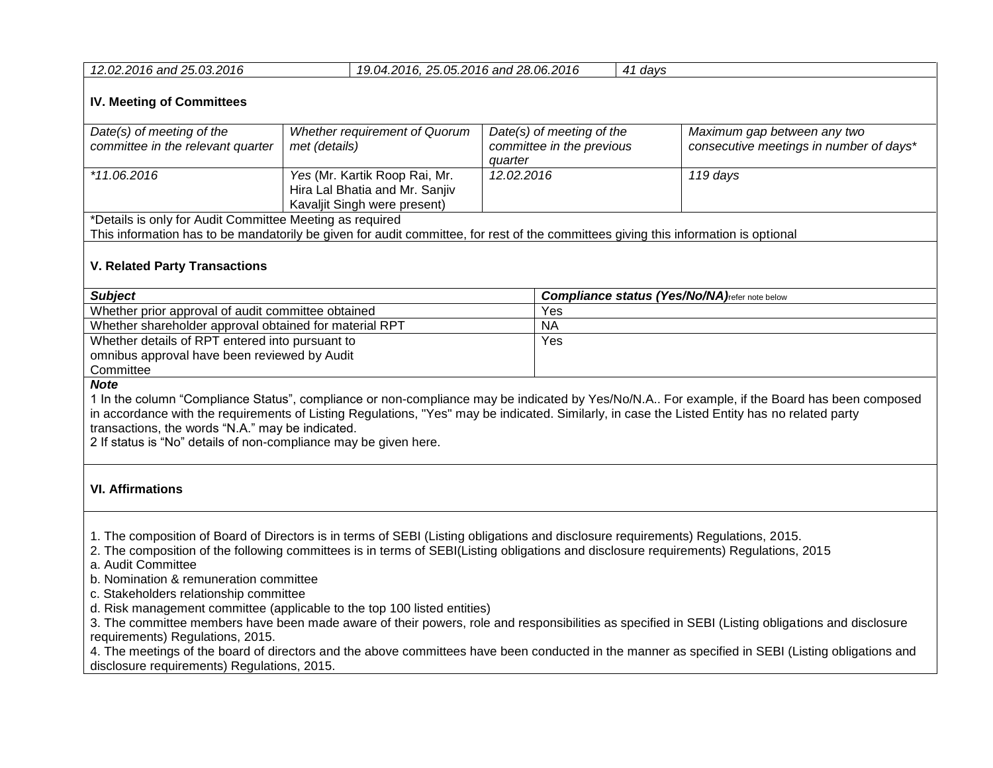| 12.02.2016 and 25.03.2016                                      |                                                                                                 | 19.04.2016, 25.05.2016 and 28.06.2016                             |  | 41 days                                                                |  |
|----------------------------------------------------------------|-------------------------------------------------------------------------------------------------|-------------------------------------------------------------------|--|------------------------------------------------------------------------|--|
| <b>IV. Meeting of Committees</b>                               |                                                                                                 |                                                                   |  |                                                                        |  |
| Date(s) of meeting of the<br>committee in the relevant quarter | Whether requirement of Quorum<br>met (details)                                                  | Date(s) of meeting of the<br>committee in the previous<br>quarter |  | Maximum gap between any two<br>consecutive meetings in number of days* |  |
| *11.06.2016                                                    | Yes (Mr. Kartik Roop Rai, Mr.<br>Hira Lal Bhatia and Mr. Sanjiv<br>Kavaljit Singh were present) | 12.02.2016                                                        |  | 119 days                                                               |  |
| *Details is only for Audit Committee Meeting as required       |                                                                                                 |                                                                   |  |                                                                        |  |

This information has to be mandatorily be given for audit committee, for rest of the committees giving this information is optional

#### **V. Related Party Transactions**

| <b>Subject</b>                                         | <b>Compliance status (Yes/No/NA)</b> refer note below |
|--------------------------------------------------------|-------------------------------------------------------|
| Whether prior approval of audit committee obtained     | Yes                                                   |
| Whether shareholder approval obtained for material RPT | <b>NA</b>                                             |
| Whether details of RPT entered into pursuant to        | Yes                                                   |
| omnibus approval have been reviewed by Audit           |                                                       |
| Committee                                              |                                                       |

*Note* 

1 In the column "Compliance Status", compliance or non-compliance may be indicated by Yes/No/N.A.. For example, if the Board has been composed in accordance with the requirements of Listing Regulations, "Yes" may be indicated. Similarly, in case the Listed Entity has no related party transactions, the words "N.A." may be indicated.

2 If status is "No" details of non-compliance may be given here.

#### **VI. Affirmations**

1. The composition of Board of Directors is in terms of SEBI (Listing obligations and disclosure requirements) Regulations, 2015.

2. The composition of the following committees is in terms of SEBI(Listing obligations and disclosure requirements) Regulations, 2015

a. Audit Committee

b. Nomination & remuneration committee

c. Stakeholders relationship committee

d. Risk management committee (applicable to the top 100 listed entities)

3. The committee members have been made aware of their powers, role and responsibilities as specified in SEBI (Listing obligations and disclosure requirements) Regulations, 2015.

4. The meetings of the board of directors and the above committees have been conducted in the manner as specified in SEBI (Listing obligations and disclosure requirements) Regulations, 2015.